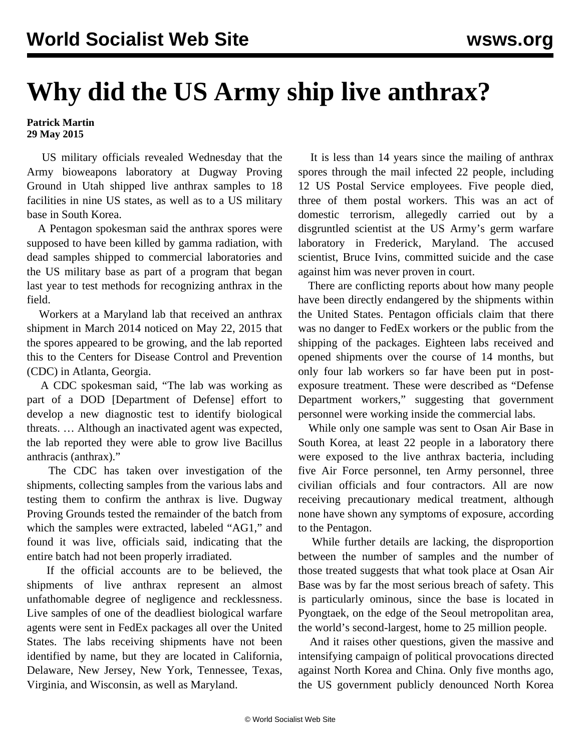## **Why did the US Army ship live anthrax?**

## **Patrick Martin 29 May 2015**

 US military officials revealed Wednesday that the Army bioweapons laboratory at Dugway Proving Ground in Utah shipped live anthrax samples to 18 facilities in nine US states, as well as to a US military base in South Korea.

 A Pentagon spokesman said the anthrax spores were supposed to have been killed by gamma radiation, with dead samples shipped to commercial laboratories and the US military base as part of a program that began last year to test methods for recognizing anthrax in the field.

 Workers at a Maryland lab that received an anthrax shipment in March 2014 noticed on May 22, 2015 that the spores appeared to be growing, and the lab reported this to the Centers for Disease Control and Prevention (CDC) in Atlanta, Georgia.

 A CDC spokesman said, "The lab was working as part of a DOD [Department of Defense] effort to develop a new diagnostic test to identify biological threats. … Although an inactivated agent was expected, the lab reported they were able to grow live Bacillus anthracis (anthrax)."

 The CDC has taken over investigation of the shipments, collecting samples from the various labs and testing them to confirm the anthrax is live. Dugway Proving Grounds tested the remainder of the batch from which the samples were extracted, labeled "AG1," and found it was live, officials said, indicating that the entire batch had not been properly irradiated.

 If the official accounts are to be believed, the shipments of live anthrax represent an almost unfathomable degree of negligence and recklessness. Live samples of one of the deadliest biological warfare agents were sent in FedEx packages all over the United States. The labs receiving shipments have not been identified by name, but they are located in California, Delaware, New Jersey, New York, Tennessee, Texas, Virginia, and Wisconsin, as well as Maryland.

 It is less than 14 years since the mailing of anthrax spores through the mail infected 22 people, including 12 US Postal Service employees. Five people died, three of them postal workers. This was an act of domestic terrorism, allegedly carried out by a disgruntled scientist at the US Army's germ warfare laboratory in Frederick, Maryland. The accused scientist, Bruce Ivins, committed suicide and the case against him was never proven in court.

 There are conflicting reports about how many people have been directly endangered by the shipments within the United States. Pentagon officials claim that there was no danger to FedEx workers or the public from the shipping of the packages. Eighteen labs received and opened shipments over the course of 14 months, but only four lab workers so far have been put in postexposure treatment. These were described as "Defense Department workers," suggesting that government personnel were working inside the commercial labs.

 While only one sample was sent to Osan Air Base in South Korea, at least 22 people in a laboratory there were exposed to the live anthrax bacteria, including five Air Force personnel, ten Army personnel, three civilian officials and four contractors. All are now receiving precautionary medical treatment, although none have shown any symptoms of exposure, according to the Pentagon.

 While further details are lacking, the disproportion between the number of samples and the number of those treated suggests that what took place at Osan Air Base was by far the most serious breach of safety. This is particularly ominous, since the base is located in Pyongtaek, on the edge of the Seoul metropolitan area, the world's second-largest, home to 25 million people.

 And it raises other questions, given the massive and intensifying campaign of political provocations directed against North Korea and China. Only five months ago, the US government publicly denounced North Korea